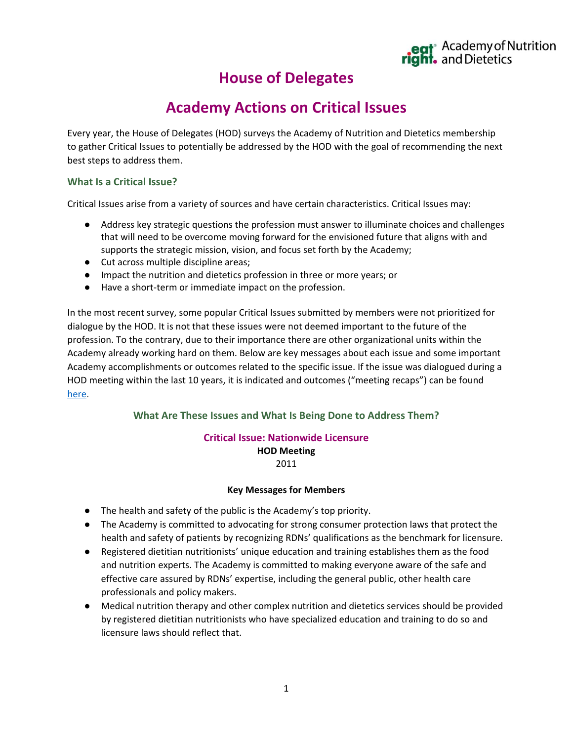# **House of Delegates**

# **Academy Actions on Critical Issues**

Every year, the House of Delegates (HOD) surveys the Academy of Nutrition and Dietetics membership to gather Critical Issues to potentially be addressed by the HOD with the goal of recommending the next best steps to address them.

### **What Is a Critical Issue?**

Critical Issues arise from a variety of sources and have certain characteristics. Critical Issues may:

- Address key strategic questions the profession must answer to illuminate choices and challenges that will need to be overcome moving forward for the envisioned future that aligns with and supports the strategic mission, vision, and focus set forth by the Academy;
- Cut across multiple discipline areas;
- Impact the nutrition and dietetics profession in three or more years; or
- Have a short-term or immediate impact on the profession.

In the most recent survey, some popular Critical Issues submitted by members were not prioritized for dialogue by the HOD. It is not that these issues were not deemed important to the future of the profession. To the contrary, due to their importance there are other organizational units within the Academy already working hard on them. Below are key messages about each issue and some important Academy accomplishments or outcomes related to the specific issue. If the issue was dialogued during a HOD meeting within the last 10 years, it is indicated and outcomes ("meeting recaps") can be found [here.](https://www.eatrightpro.org/leadership/governance/house-of-delegates/critical-issues)

## **What Are These Issues and What Is Being Done to Address Them?**

#### **Critical Issue: Nationwide Licensure HOD Meeting** 2011

#### **Key Messages for Members**

- The health and safety of the public is the Academy's top priority.
- The Academy is committed to advocating for strong consumer protection laws that protect the health and safety of patients by recognizing RDNs' qualifications as the benchmark for licensure.
- Registered dietitian nutritionists' unique education and training establishes them as the food and nutrition experts. The Academy is committed to making everyone aware of the safe and effective care assured by RDNs' expertise, including the general public, other health care professionals and policy makers.
- Medical nutrition therapy and other complex nutrition and dietetics services should be provided by registered dietitian nutritionists who have specialized education and training to do so and licensure laws should reflect that.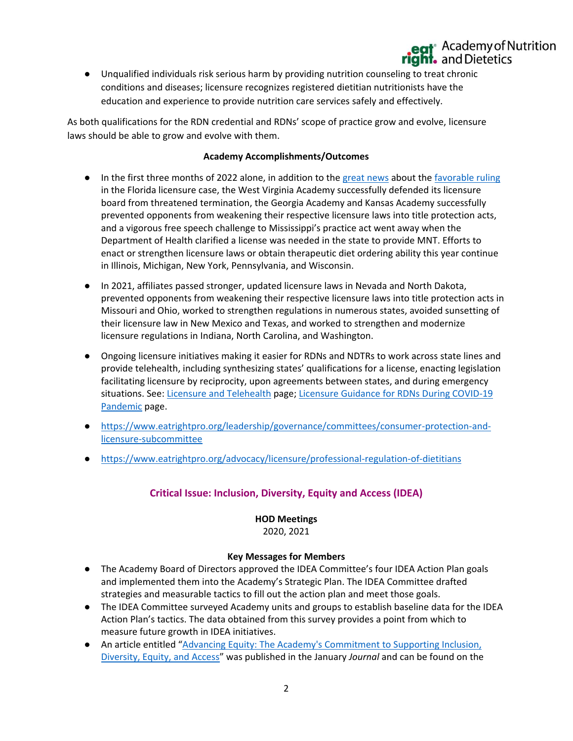● Unqualified individuals risk serious harm by providing nutrition counseling to treat chronic conditions and diseases; licensure recognizes registered dietitian nutritionists have the education and experience to provide nutrition care services safely and effectively.

As both qualifications for the RDN credential and RDNs' scope of practice grow and evolve, licensure laws should be able to grow and evolve with them.

### **Academy Accomplishments/Outcomes**

- In the first three months of 2022 alone, in addition to the [great news](https://www.eatrightpro.org/media/press-releases/public-policy/fla-licensure-win) about the [favorable ruling](https://www.eatrightpro.org/news-center/on-the-pulse-of-public-policy/state-matters/an-update-from-the-academy-of-nutrition-and-dietetics-on-florida-licensure-case) in the Florida licensure case, the West Virginia Academy successfully defended its licensure board from threatened termination, the Georgia Academy and Kansas Academy successfully prevented opponents from weakening their respective licensure laws into title protection acts, and a vigorous free speech challenge to Mississippi's practice act went away when the Department of Health clarified a license was needed in the state to provide MNT. Efforts to enact or strengthen licensure laws or obtain therapeutic diet ordering ability this year continue in Illinois, Michigan, New York, Pennsylvania, and Wisconsin.
- In 2021, affiliates passed stronger, updated licensure laws in Nevada and North Dakota, prevented opponents from weakening their respective licensure laws into title protection acts in Missouri and Ohio, worked to strengthen regulations in numerous states, avoided sunsetting of their licensure law in New Mexico and Texas, and worked to strengthen and modernize licensure regulations in Indiana, North Carolina, and Washington.
- Ongoing licensure initiatives making it easier for RDNs and NDTRs to work across state lines and provide telehealth, including synthesizing states' qualifications for a license, enacting legislation facilitating licensure by reciprocity, upon agreements between states, and during emergency situations. See: [Licensure and Telehealth](https://www.eatrightpro.org/advocacy/licensure/licensure-and-telehealth) page[; Licensure Guidance for RDNs During COVID-19](https://www.eatrightpro.org/news-center/member-updates/coronavirus-updates/licensure-guidance-for-rdns-during-covid-19-pandemic)  [Pandemic](https://www.eatrightpro.org/news-center/member-updates/coronavirus-updates/licensure-guidance-for-rdns-during-covid-19-pandemic) page.
- [https://www.eatrightpro.org/leadership/governance/committees/consumer-protection-and](https://www.eatrightpro.org/leadership/governance/committees/consumer-protection-and-licensure-subcommittee)[licensure-subcommittee](https://www.eatrightpro.org/leadership/governance/committees/consumer-protection-and-licensure-subcommittee)
- <https://www.eatrightpro.org/advocacy/licensure/professional-regulation-of-dietitians>

# **Critical Issue: Inclusion, Diversity, Equity and Access (IDEA)**

#### **HOD Meetings**

2020, 2021

#### **Key Messages for Members**

- The Academy Board of Directors approved the IDEA Committee's four IDEA Action Plan goals and implemented them into the Academy's Strategic Plan. The IDEA Committee drafted strategies and measurable tactics to fill out the action plan and meet those goals.
- The IDEA Committee surveyed Academy units and groups to establish baseline data for the IDEA Action Plan's tactics. The data obtained from this survey provides a point from which to measure future growth in IDEA initiatives.
- An article entitled "[Advancing Equity: The Academy's Commitment to Supporting Inclusion,](https://nam10.safelinks.protection.outlook.com/?url=https%3A%2F%2Fwww.jandonline.org%2Farticle%2FS2212-2672(21)01466-0%2Ffulltext&data=04%7C01%7Camurphy%40eatright.org%7C9147ad0f7427481bc31b08da05d5a56d%7C5da1b5c430044586b7ab2dd01f24d7d2%7C0%7C0%7C637828712419053806%7CUnknown%7CTWFpbGZsb3d8eyJWIjoiMC4wLjAwMDAiLCJQIjoiV2luMzIiLCJBTiI6Ik1haWwiLCJXVCI6Mn0%3D%7C3000&sdata=%2ByXJ0vDOpyf3OM3Y5HI80Iiup4eepvzNSqA2UbZe6Eg%3D&reserved=0)  [Diversity, Equity, and Access](https://nam10.safelinks.protection.outlook.com/?url=https%3A%2F%2Fwww.jandonline.org%2Farticle%2FS2212-2672(21)01466-0%2Ffulltext&data=04%7C01%7Camurphy%40eatright.org%7C9147ad0f7427481bc31b08da05d5a56d%7C5da1b5c430044586b7ab2dd01f24d7d2%7C0%7C0%7C637828712419053806%7CUnknown%7CTWFpbGZsb3d8eyJWIjoiMC4wLjAwMDAiLCJQIjoiV2luMzIiLCJBTiI6Ik1haWwiLCJXVCI6Mn0%3D%7C3000&sdata=%2ByXJ0vDOpyf3OM3Y5HI80Iiup4eepvzNSqA2UbZe6Eg%3D&reserved=0)" was published in the January *Journal* and can be found on the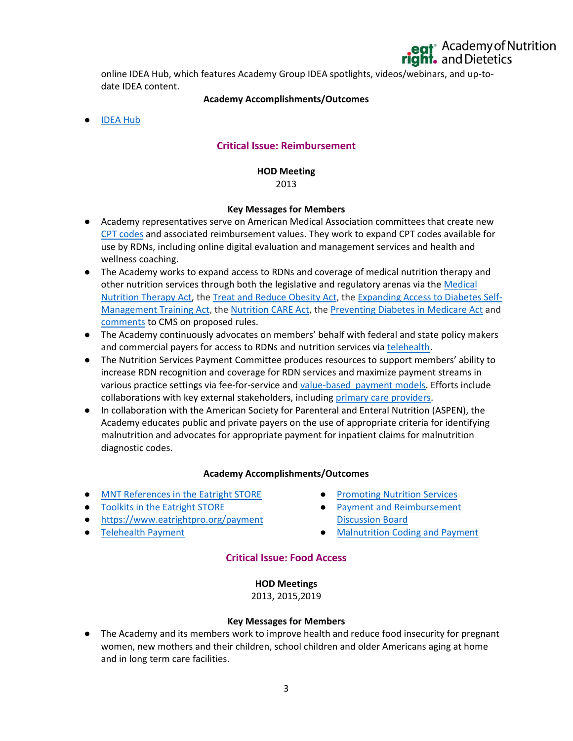online IDEA Hub, which features Academy Group IDEA spotlights, videos/webinars, and up-todate IDEA content.

#### **Academy Accomplishments/Outcomes**

● [IDEA Hub](https://www.eatrightpro.org/practice/practice-resources/diversity-and-inclusion)

## **Critical Issue: Reimbursement**

#### **HOD Meeting** 2013

#### **Key Messages for Members**

- Academy representatives serve on American Medical Association committees that create new [CPT codes](https://www.eatrightpro.org/payment/coding-and-billing/diagnosis-and-procedure-codes/cpt-and-g-codes-for-rdns) and associated reimbursement values. They work to expand CPT codes available for use by RDNs, including online digital evaluation and management services and health and wellness coaching.
- The Academy works to expand access to RDNs and coverage of medical nutrition therapy and other nutrition services through both the legislative and regulatory arenas via the [Medical](https://www.eatrightpro.org/advocacy/legislation/all-legislation/medical-nutrition-therapy-act)  [Nutrition Therapy Act,](https://www.eatrightpro.org/advocacy/legislation/all-legislation/medical-nutrition-therapy-act) th[e Treat and Reduce Obesity Act,](https://www.eatrightpro.org/advocacy/legislation/all-legislation/treat-and-reduce-obesity-act) the [Expanding Access to Diabetes Self-](https://www.eatrightpro.org/advocacy/legislation/all-legislation/expanding-access-to-dsmt)[Management Training Act,](https://www.eatrightpro.org/advocacy/legislation/all-legislation/expanding-access-to-dsmt) th[e Nutrition CARE Act,](https://www.eatrightpro.org/advocacy/legislation/all-legislation/nutrition-care-act) the [Preventing Diabetes in Medicare Act](https://www.eatrightpro.org/advocacy/legislation/all-legislation/preventing-diabetes-in-medicare-act) and [comments](https://www.eatrightpro.org/news-center/on-the-pulse-of-public-policy/regulatory-comments/academy-urges-cms-to-do-more-to-address-barriers-to-mnt) to CMS on proposed rules.
- The Academy continuously advocates on members' behalf with federal and state policy makers and commercial payers for access to RDNs and nutrition services via [telehealth.](https://www.eatrightpro.org/advocacy/legislation/all-legislation/telehealth-advocacy)
- The Nutrition Services Payment Committee produces resources to support members' ability to increase RDN recognition and coverage for RDN services and maximize payment streams in various practice settings via fee-for-service and [value-based payment models.](https://www.eatrightpro.org/payment/changes-delivery-payment/apms-and-value-based-caree) Efforts include collaborations with key external stakeholders, including [primary care providers.](https://www.eatrightpro.org/payment/getting-started/referrals-and-primary-care-partnership)
- In collaboration with the American Society for Parenteral and Enteral Nutrition (ASPEN), the Academy educates public and private payers on the use of appropriate criteria for identifying malnutrition and advocates for appropriate payment for inpatient claims for malnutrition diagnostic codes.

#### **Academy Accomplishments/Outcomes**

- [MNT References in the Eatright STORE](https://www.eatrightstore.org/product-subject/mnt-references?pageSize=20&pageIndex=3&sortBy=recent)
- [Toolkits in the Eatright STORE](https://www.eatrightstore.org/product-type/toolkits)
- <https://www.eatrightpro.org/payment>
- [Telehealth Payment](https://www.eatrightpro.org/practice/practice-resources/telehealth)
- **[Promoting Nutrition Services](https://www.eatrightpro.org/payment/nutrition-services/promoting-nutrition-services)**
- [Payment and Reimbursement](https://www.eatrightpro.org/payment/getting-started/becoming-a-provider/join-the-payment-reimbursement-discussion-board)  [Discussion Board](https://www.eatrightpro.org/payment/getting-started/becoming-a-provider/join-the-payment-reimbursement-discussion-board)
- [Malnutrition Coding and Payment](https://www.eatrightpro.org/payment/coding-and-billing/diagnosis-and-procedure-codes/malnutrition-codes-characteristics-and-sentinel-markers)

#### **Critical Issue: Food Access**

**HOD Meetings** 2013, 2015,2019

#### **Key Messages for Members**

● The Academy and its members work to improve health and reduce food insecurity for pregnant women, new mothers and their children, school children and older Americans aging at home and in long term care facilities.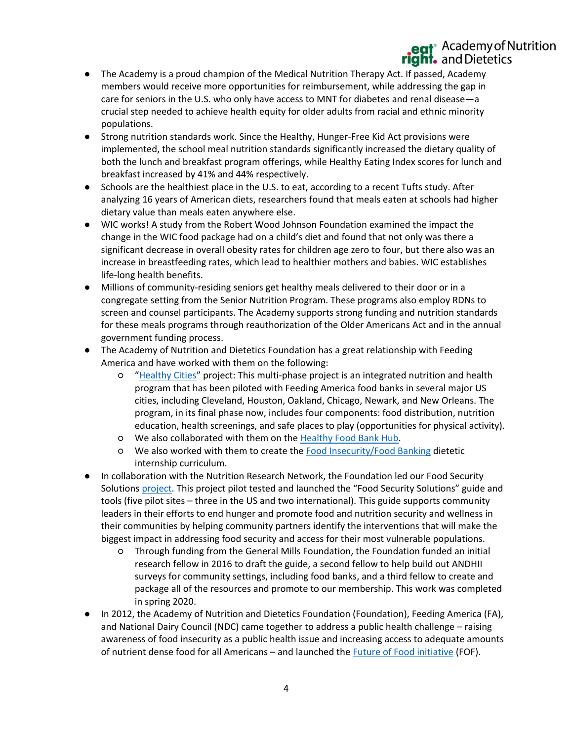- The Academy is a proud champion of the Medical Nutrition Therapy Act. If passed, Academy members would receive more opportunities for reimbursement, while addressing the gap in care for seniors in the U.S. who only have access to MNT for diabetes and renal disease—a crucial step needed to achieve health equity for older adults from racial and ethnic minority populations.
- Strong nutrition standards work. Since the Healthy, Hunger-Free Kid Act provisions were implemented, the school meal nutrition standards significantly increased the dietary quality of both the lunch and breakfast program offerings, while Healthy Eating Index scores for lunch and breakfast increased by 41% and 44% respectively.
- Schools are the healthiest place in the U.S. to eat, according to a recent Tufts study. After analyzing 16 years of American diets, researchers found that meals eaten at schools had higher dietary value than meals eaten anywhere else.
- WIC works! A study from the Robert Wood Johnson Foundation examined the impact the change in the WIC food package had on a child's diet and found that not only was there a significant decrease in overall obesity rates for children age zero to four, but there also was an increase in breastfeeding rates, which lead to healthier mothers and babies. WIC establishes life-long health benefits.
- Millions of community-residing seniors get healthy meals delivered to their door or in a congregate setting from the Senior Nutrition Program. These programs also employ RDNs to screen and counsel participants. The Academy supports strong funding and nutrition standards for these meals programs through reauthorization of the Older Americans Act and in the annual government funding process.
- The Academy of Nutrition and Dietetics Foundation has a great relationship with Feeding America and have worked with them on the following:
	- "[Healthy Cities](https://nam10.safelinks.protection.outlook.com/?url=https%3A%2F%2Featrightfoundation.org%2Fwhy-it-matters%2Fpublic-education%2Ffuture-of-food%2F&data=04%7C01%7Camurphy%40eatright.org%7Cc412e39aef774e26fef208da0b75c731%7C5da1b5c430044586b7ab2dd01f24d7d2%7C0%7C0%7C637834897728859923%7CUnknown%7CTWFpbGZsb3d8eyJWIjoiMC4wLjAwMDAiLCJQIjoiV2luMzIiLCJBTiI6Ik1haWwiLCJXVCI6Mn0%3D%7C3000&sdata=bZ8t0b%2FaZakxOMY1raC5EOoUq0lgA0Ng5R2KpTIloQM%3D&reserved=0)" project: This multi-phase project is an integrated nutrition and health program that has been piloted with Feeding America food banks in several major US cities, including Cleveland, Houston, Oakland, Chicago, Newark, and New Orleans. The program, in its final phase now, includes four components: food distribution, nutrition education, health screenings, and safe places to play (opportunities for physical activity).
	- We also collaborated with them on the [Healthy Food Bank Hub.](https://nam10.safelinks.protection.outlook.com/?url=https%3A%2F%2Featrightfoundation.org%2Fwhy-it-matters%2Fpublic-education%2Fhealthy-food-bank-hub%2F&data=04%7C01%7Camurphy%40eatright.org%7Cc412e39aef774e26fef208da0b75c731%7C5da1b5c430044586b7ab2dd01f24d7d2%7C0%7C0%7C637834897728859923%7CUnknown%7CTWFpbGZsb3d8eyJWIjoiMC4wLjAwMDAiLCJQIjoiV2luMzIiLCJBTiI6Ik1haWwiLCJXVCI6Mn0%3D%7C3000&sdata=37hfE7I3dkmLjt1LLbfHmYD%2BEn461LAR0Shk%2FtUqqF0%3D&reserved=0)
	- We also worked with them to create the [Food Insecurity/Food Banking](https://nam10.safelinks.protection.outlook.com/?url=https%3A%2F%2Fwww.eatrightfoundation.org%2Fresources%2Ffuture-of-food%2Ffood-insecurity-food-banking-concentration&data=04%7C01%7Camurphy%40eatright.org%7Cc412e39aef774e26fef208da0b75c731%7C5da1b5c430044586b7ab2dd01f24d7d2%7C0%7C0%7C637834897728859923%7CUnknown%7CTWFpbGZsb3d8eyJWIjoiMC4wLjAwMDAiLCJQIjoiV2luMzIiLCJBTiI6Ik1haWwiLCJXVCI6Mn0%3D%7C3000&sdata=caJTeNZGXowCT08KUIfUGo6zljWRcG%2FgNjvTBCcPP3E%3D&reserved=0) dietetic internship curriculum.
- In collaboration with the Nutrition Research Network, the Foundation led our Food Security Solution[s project](https://nam10.safelinks.protection.outlook.com/?url=https%3A%2F%2Fwww.eatrightfoundation.org%2Fresources%2Ffuture-of-food%2Ffood-security-solutions&data=04%7C01%7Camurphy%40eatright.org%7Cc412e39aef774e26fef208da0b75c731%7C5da1b5c430044586b7ab2dd01f24d7d2%7C0%7C0%7C637834897728859923%7CUnknown%7CTWFpbGZsb3d8eyJWIjoiMC4wLjAwMDAiLCJQIjoiV2luMzIiLCJBTiI6Ik1haWwiLCJXVCI6Mn0%3D%7C3000&sdata=6f%2FoASBbxrC1oAymPtqD6znlhrYwf%2FcfAipB60soYPA%3D&reserved=0). This project pilot tested and launched the "Food Security Solutions" guide and tools (five pilot sites – three in the US and two international). This guide supports community leaders in their efforts to end hunger and promote food and nutrition security and wellness in their communities by helping community partners identify the interventions that will make the biggest impact in addressing food security and access for their most vulnerable populations.
	- Through funding from the General Mills Foundation, the Foundation funded an initial research fellow in 2016 to draft the guide, a second fellow to help build out ANDHII surveys for community settings, including food banks, and a third fellow to create and package all of the resources and promote to our membership. This work was completed in spring 2020.
- In 2012, the Academy of Nutrition and Dietetics Foundation (Foundation), Feeding America (FA), and National Dairy Council (NDC) came together to address a public health challenge – raising awareness of food insecurity as a public health issue and increasing access to adequate amounts of nutrient dense food for all Americans – and launched the *Future of Food initiative* (FOF).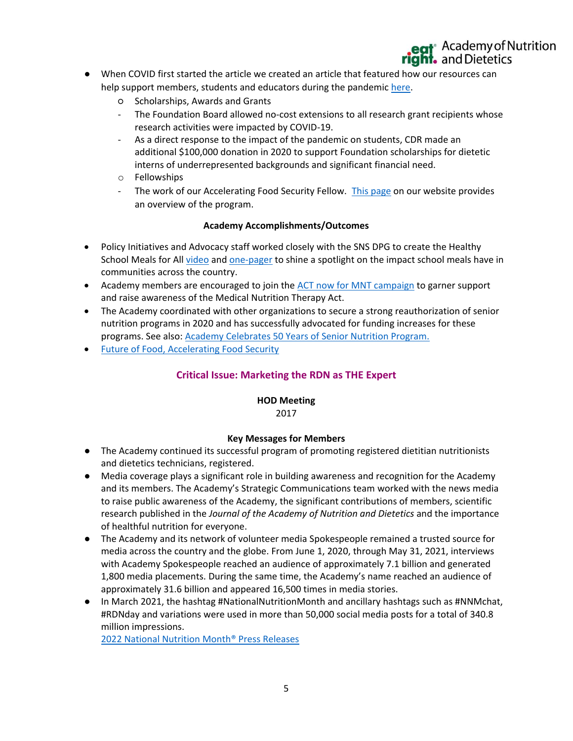- When COVID first started the article we created an article that featured how our resources can help support members, students and educators during the pandemic [here.](https://www.eatrightfoundation.org/foundation/blogs/foundation-admin/2020/03/25/foundation-resources-for-academy-members-students)
	- Scholarships, Awards and Grants
	- The Foundation Board allowed no-cost extensions to all research grant recipients whose research activities were impacted by COVID-19.
	- As a direct response to the impact of the pandemic on students, CDR made an additional \$100,000 donation in 2020 to support Foundation scholarships for dietetic interns of underrepresented backgrounds and significant financial need.
	- o Fellowships
	- The work of our Accelerating Food Security Fellow. [This page](https://nam10.safelinks.protection.outlook.com/?url=https%3A%2F%2Fwww.eatrightfoundation.org%2Fresources%2Ffuture-of-food%2Faccelerating-food-security&data=04%7C01%7Camurphy%40eatright.org%7C1f5e555067ec447c7f5008da08f7dc92%7C5da1b5c430044586b7ab2dd01f24d7d2%7C0%7C0%7C637832157934102605%7CUnknown%7CTWFpbGZsb3d8eyJWIjoiMC4wLjAwMDAiLCJQIjoiV2luMzIiLCJBTiI6Ik1haWwiLCJXVCI6Mn0%3D%7C3000&sdata=FnuGU5U9PuuTi9323%2ByzWKgL979p0FrWh2ubWoQzqeI%3D&reserved=0) on our website provides an overview of the program.

### **Academy Accomplishments/Outcomes**

- Policy Initiatives and Advocacy staff worked closely with the SNS DPG to create the Healthy School Meals for All [video](https://www.youtube.com/watch?v=iprEmZZXEgg) and [one-pager](https://www.eatrightpro.org/-/media/eatrightpro-files/advocacy/legislation/healthyschoolmealsforall-onepager.pdf?la=en&hash=91FB254352A9FBBB67AC287B286E16A6DC4D9DBD) to shine a spotlight on the impact school meals have in communities across the country.
- Academy members are encouraged to join the [ACT now for MNT campaign](https://www.eatrightpro.org/advocacy/legislation/all-legislation/medical-nutrition-therapy-act#act-now) to garner support and raise awareness of the Medical Nutrition Therapy Act.
- The Academy coordinated with other organizations to secure a strong reauthorization of senior nutrition programs in 2020 and has successfully advocated for funding increases for these programs. See also: [Academy Celebrates 50 Years of Senior Nutrition Program.](https://www.eatrightpro.org/news-center/member-updates/from-our-leaders/academy-celebrates-50-years-of-senior-nutrition-program)
- [Future of Food, Accelerating Food Security](https://www.eatrightfoundation.org/resources/future-of-food/accelerating-food-security)

## **Critical Issue: Marketing the RDN as THE Expert**

# **HOD Meeting**

#### 2017

#### **Key Messages for Members**

- The Academy continued its successful program of promoting registered dietitian nutritionists and dietetics technicians, registered.
- Media coverage plays a significant role in building awareness and recognition for the Academy and its members. The Academy's Strategic Communications team worked with the news media to raise public awareness of the Academy, the significant contributions of members, scientific research published in the *Journal of the Academy of Nutrition and Dietetics* and the importance of healthful nutrition for everyone.
- The Academy and its network of volunteer media Spokespeople remained a trusted source for media across the country and the globe. From June 1, 2020, through May 31, 2021, interviews with Academy Spokespeople reached an audience of approximately 7.1 billion and generated 1,800 media placements. During the same time, the Academy's name reached an audience of approximately 31.6 billion and appeared 16,500 times in media stories.
- In March 2021, the hashtag #NationalNutritionMonth and ancillary hashtags such as #NNMchat, #RDNday and variations were used in more than 50,000 social media posts for a total of 340.8 million impressions.

[2022 National Nutrition Month® Press Releases](https://www.eatrightpro.org/media/press-releases/national-nutrition-month)